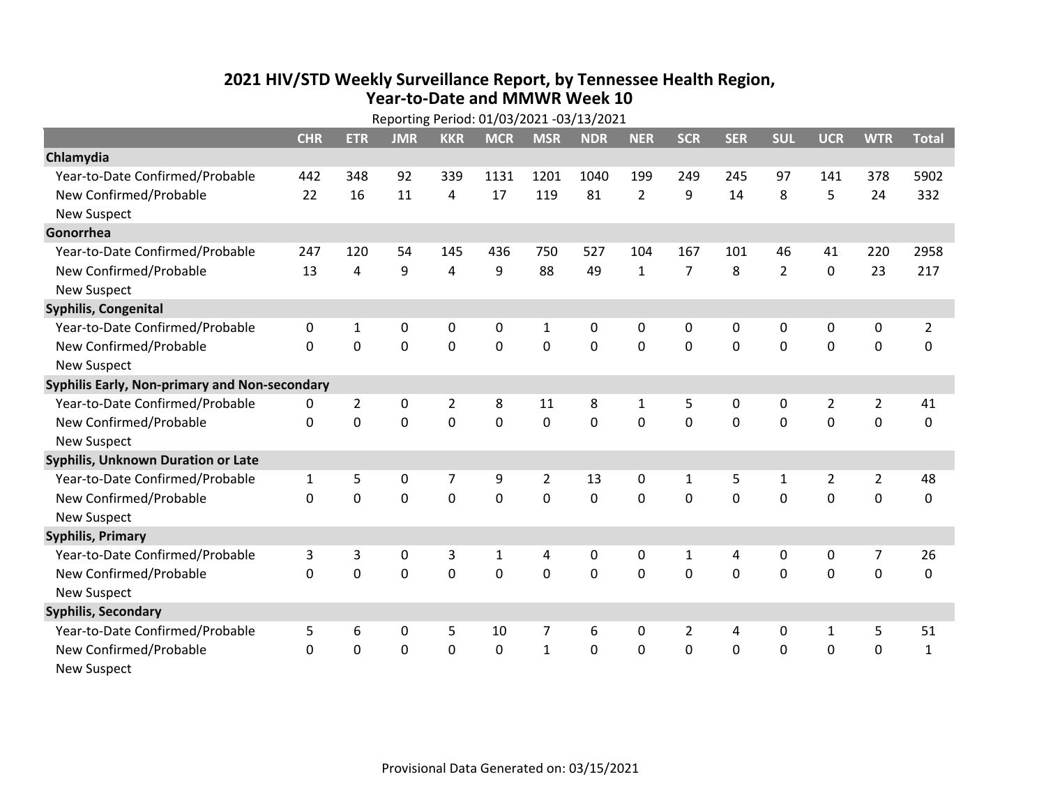## **2021 HIV /STD Weekly Surveillance Report, by Tennessee Health Region, Year‐to‐Date and MMWR Week 10** Reporting Period: 01/03/2021 ‐03/13/2021

|                                               | Reporting Period: 01/03/2021 -03/13/2021 |                |             |                |              |                |            |                |                |              |                |                |                |                |
|-----------------------------------------------|------------------------------------------|----------------|-------------|----------------|--------------|----------------|------------|----------------|----------------|--------------|----------------|----------------|----------------|----------------|
|                                               | <b>CHR</b>                               | <b>ETR</b>     | <b>JMR</b>  | <b>KKR</b>     | <b>MCR</b>   | <b>MSR</b>     | <b>NDR</b> | <b>NER</b>     | <b>SCR</b>     | <b>SER</b>   | <b>SUL</b>     | <b>UCR</b>     | <b>WTR</b>     | <b>Total</b>   |
| Chlamydia                                     |                                          |                |             |                |              |                |            |                |                |              |                |                |                |                |
| Year-to-Date Confirmed/Probable               | 442                                      | 348            | 92          | 339            | 1131         | 1201           | 1040       | 199            | 249            | 245          | 97             | 141            | 378            | 5902           |
| New Confirmed/Probable                        | 22                                       | 16             | 11          | 4              | 17           | 119            | 81         | $\overline{2}$ | 9              | 14           | 8              | 5              | 24             | 332            |
| <b>New Suspect</b>                            |                                          |                |             |                |              |                |            |                |                |              |                |                |                |                |
| Gonorrhea                                     |                                          |                |             |                |              |                |            |                |                |              |                |                |                |                |
| Year-to-Date Confirmed/Probable               | 247                                      | 120            | 54          | 145            | 436          | 750            | 527        | 104            | 167            | 101          | 46             | 41             | 220            | 2958           |
| New Confirmed/Probable                        | 13                                       | $\overline{4}$ | 9           | 4              | 9            | 88             | 49         | $\mathbf{1}$   | $\overline{7}$ | 8            | $\overline{2}$ | $\mathbf 0$    | 23             | 217            |
| <b>New Suspect</b>                            |                                          |                |             |                |              |                |            |                |                |              |                |                |                |                |
| <b>Syphilis, Congenital</b>                   |                                          |                |             |                |              |                |            |                |                |              |                |                |                |                |
| Year-to-Date Confirmed/Probable               | 0                                        | 1              | 0           | 0              | 0            | $\mathbf{1}$   | 0          | 0              | 0              | 0            | 0              | 0              | 0              | $\overline{2}$ |
| New Confirmed/Probable                        | $\Omega$                                 | $\mathbf 0$    | 0           | 0              | $\mathbf 0$  | $\mathbf 0$    | 0          | $\Omega$       | $\Omega$       | $\mathbf 0$  | $\mathbf 0$    | $\mathbf 0$    | $\mathbf 0$    | 0              |
| <b>New Suspect</b>                            |                                          |                |             |                |              |                |            |                |                |              |                |                |                |                |
| Syphilis Early, Non-primary and Non-secondary |                                          |                |             |                |              |                |            |                |                |              |                |                |                |                |
| Year-to-Date Confirmed/Probable               | 0                                        | $\overline{2}$ | 0           | $\overline{2}$ | 8            | 11             | 8          | 1              | 5              | 0            | 0              | $\overline{2}$ | $\overline{2}$ | 41             |
| New Confirmed/Probable                        | $\Omega$                                 | 0              | 0           | 0              | 0            | 0              | 0          | $\Omega$       | $\Omega$       | $\mathbf 0$  | 0              | 0              | $\mathbf 0$    | 0              |
| <b>New Suspect</b>                            |                                          |                |             |                |              |                |            |                |                |              |                |                |                |                |
| Syphilis, Unknown Duration or Late            |                                          |                |             |                |              |                |            |                |                |              |                |                |                |                |
| Year-to-Date Confirmed/Probable               | $\mathbf{1}$                             | 5              | 0           | $\overline{7}$ | 9            | $\overline{2}$ | 13         | $\mathbf{0}$   | $\mathbf{1}$   | 5            | 1              | $\overline{2}$ | $\overline{2}$ | 48             |
| New Confirmed/Probable                        | 0                                        | 0              | 0           | 0              | 0            | $\mathbf 0$    | $\Omega$   | $\Omega$       | $\Omega$       | $\mathbf{0}$ | $\Omega$       | 0              | $\mathbf 0$    | 0              |
| <b>New Suspect</b>                            |                                          |                |             |                |              |                |            |                |                |              |                |                |                |                |
| <b>Syphilis, Primary</b>                      |                                          |                |             |                |              |                |            |                |                |              |                |                |                |                |
| Year-to-Date Confirmed/Probable               | 3                                        | 3              | 0           | 3              | $\mathbf{1}$ | 4              | 0          | $\mathbf{0}$   | $\mathbf{1}$   | 4            | $\mathbf{0}$   | 0              | 7              | 26             |
| New Confirmed/Probable                        | $\Omega$                                 | $\Omega$       | $\mathbf 0$ | 0              | $\Omega$     | $\Omega$       | $\Omega$   | $\Omega$       | $\Omega$       | $\Omega$     | $\Omega$       | $\Omega$       | $\mathbf 0$    | 0              |
| <b>New Suspect</b>                            |                                          |                |             |                |              |                |            |                |                |              |                |                |                |                |
| <b>Syphilis, Secondary</b>                    |                                          |                |             |                |              |                |            |                |                |              |                |                |                |                |
| Year-to-Date Confirmed/Probable               | 5                                        | 6              | 0           | 5              | 10           | 7              | 6          | $\mathbf{0}$   | $\overline{2}$ | 4            | 0              | $\mathbf{1}$   | 5              | 51             |
| New Confirmed/Probable                        | $\Omega$                                 | 0              | $\mathbf 0$ | 0              | $\mathbf 0$  | $\mathbf{1}$   | $\Omega$   | $\Omega$       | $\Omega$       | $\mathbf 0$  | $\mathbf 0$    | $\mathbf 0$    | $\mathbf 0$    | $\mathbf{1}$   |
| New Suspect                                   |                                          |                |             |                |              |                |            |                |                |              |                |                |                |                |